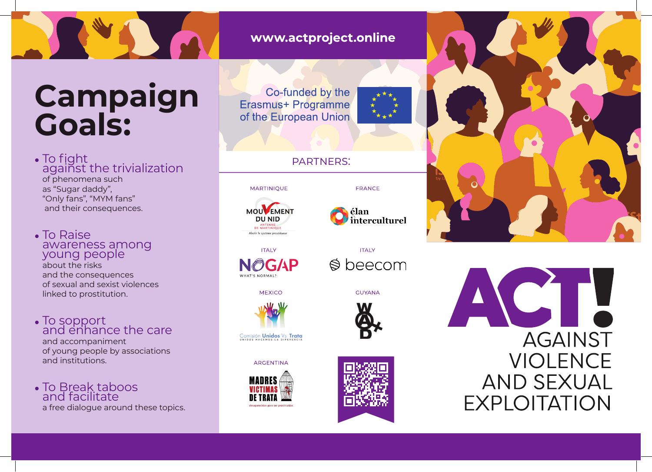## **Campaign Goals:**

**•** To fight **•** against the trivialization **•** of phenomena such **•** as "Sugar daddy", **•** "Only fans", "MYM fans" **•** and their consequences.

**•** To Raise **•** awareness among **•** young people

**•** about the risks **•** and the consequences **•** of sexual and sexist violences **•** linked to prostitution.

**•** To sopport and enhance the care **•** and accompaniment **•** of young people by associations **•** and institutions.

**•** To Break taboos **•** and facilitate **•** a free dialogue around these topics. www.actproject.online

Co-funded by the Erasmus+ Programme of the European Union



## partners:





FRANCE

**ITALY**  $\otimes$  beecom

**GUYANA** 

**ITALY NOGAP** WHAT'S NORMAL





Comisión **Unidos** Vs Trata

**ARGENTINA**